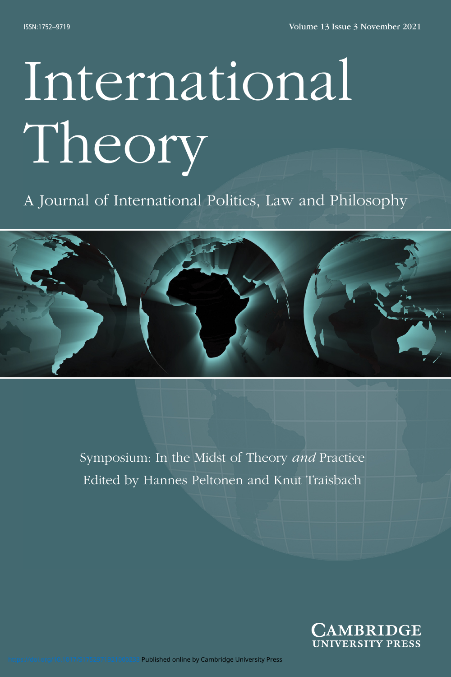# International Theory

## A Journal of International Politics, Law and Philosophy



Symposium: In the Midst of Theory *and* Practice Edited by Hannes Peltonen and Knut Traisbach